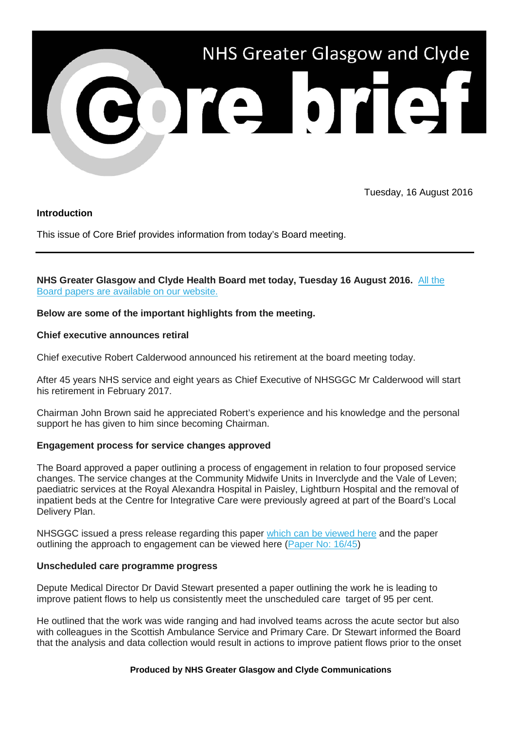

Tuesday, 16 August 2016

# **Introduction**

This issue of Core Brief provides information from today's Board meeting.

# **NHS Greater Glasgow and Clyde Health Board met today, Tuesday 16 August 2016.** [All the](http://nhsggc.us12.list-manage1.com/track/click?u=0f385b5aea37eaf0213bd19fb&id=4b599aa304&e=5af5e1832c)  [Board papers are available on our website.](http://nhsggc.us12.list-manage1.com/track/click?u=0f385b5aea37eaf0213bd19fb&id=4b599aa304&e=5af5e1832c)

# **Below are some of the important highlights from the meeting.**

# **Chief executive announces retiral**

Chief executive Robert Calderwood announced his retirement at the board meeting today.

After 45 years NHS service and eight years as Chief Executive of NHSGGC Mr Calderwood will start his retirement in February 2017.

Chairman John Brown said he appreciated Robert's experience and his knowledge and the personal support he has given to him since becoming Chairman.

#### **Engagement process for service changes approved**

The Board approved a paper outlining a process of engagement in relation to four proposed service changes. The service changes at the Community Midwife Units in Inverclyde and the Vale of Leven; paediatric services at the Royal Alexandra Hospital in Paisley, Lightburn Hospital and the removal of inpatient beds at the Centre for Integrative Care were previously agreed at part of the Board's Local Delivery Plan.

NHSGGC issued a press release regarding this paper [which can be viewed here](http://nhsggc.us12.list-manage.com/track/click?u=0f385b5aea37eaf0213bd19fb&id=46735f69a7&e=5af5e1832c) and the paper outlining the approach to engagement can be viewed here [\(Paper No: 16/45\)](http://nhsggc.us12.list-manage.com/track/click?u=0f385b5aea37eaf0213bd19fb&id=4e0119c7d4&e=5af5e1832c)

### **Unscheduled care programme progress**

Depute Medical Director Dr David Stewart presented a paper outlining the work he is leading to improve patient flows to help us consistently meet the unscheduled care target of 95 per cent.

He outlined that the work was wide ranging and had involved teams across the acute sector but also with colleagues in the Scottish Ambulance Service and Primary Care. Dr Stewart informed the Board that the analysis and data collection would result in actions to improve patient flows prior to the onset

#### **Produced by NHS Greater Glasgow and Clyde Communications**